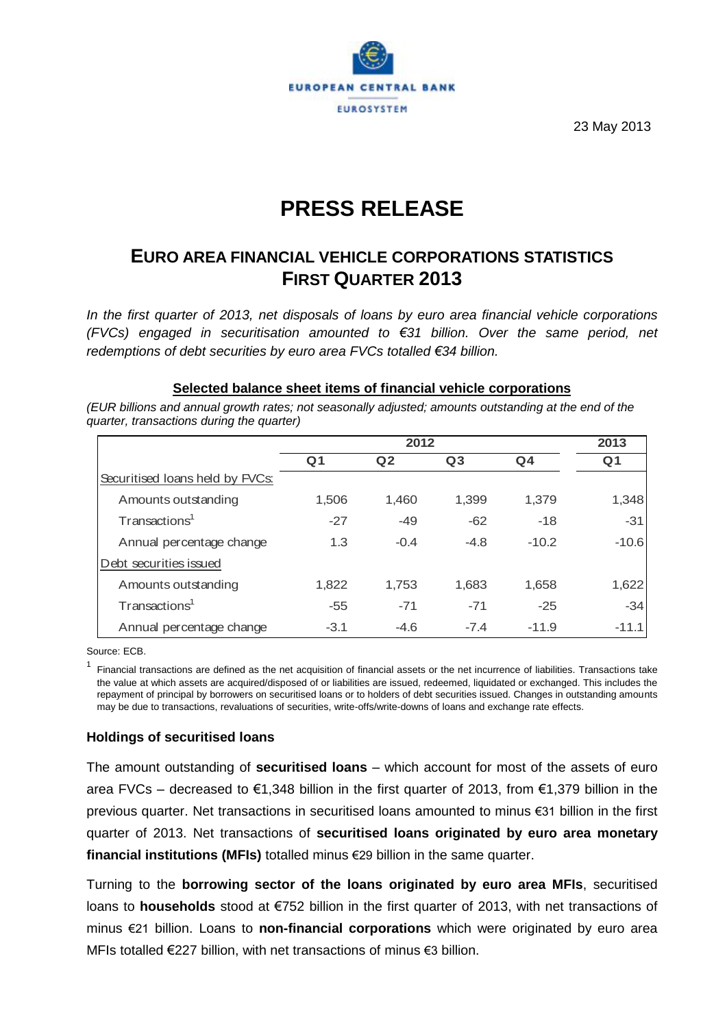

23 May 2013

# **PRESS RELEASE**

# **EURO AREA FINANCIAL VEHICLE CORPORATIONS STATISTICS FIRST QUARTER 2013**

*In the first quarter of 2013, net disposals of loans by euro area financial vehicle corporations (FVCs) engaged in securitisation amounted to €31 billion. Over the same period, net redemptions of debt securities by euro area FVCs totalled €34 billion.*

#### **Selected balance sheet items of financial vehicle corporations**

*quarter, transactions during the quarter)*

|                                 |                | 2013           |                |                |                |
|---------------------------------|----------------|----------------|----------------|----------------|----------------|
|                                 | Q <sub>1</sub> | Q <sub>2</sub> | Q <sub>3</sub> | Q <sub>4</sub> | Q <sub>1</sub> |
| Securitised Ioans held by FVCs: |                |                |                |                |                |
| Amounts outstanding             | 1,506          | 1,460          | 1,399          | 1,379          | 1,348          |
| Transactions <sup>1</sup>       | $-27$          | $-49$          | $-62$          | $-18$          | $-31$          |
| Annual percentage change        | 1.3            | $-0.4$         | $-4.8$         | $-10.2$        | $-10.6$        |
| Debt securities issued          |                |                |                |                |                |
| Amounts outstanding             | 1,822          | 1,753          | 1,683          | 1,658          | 1,622          |
| Transactions <sup>1</sup>       | $-55$          | $-71$          | $-71$          | $-25$          | $-34$          |
| Annual percentage change        | $-3.1$         | $-4.6$         | $-7.4$         | $-11.9$        | $-11.1$        |

Source: ECB.

<sup>1</sup> Financial transactions are defined as the net acquisition of financial assets or the net incurrence of liabilities. Transactions take the value at which assets are acquired/disposed of or liabilities are issued, redeemed, liquidated or exchanged. This includes the repayment of principal by borrowers on securitised loans or to holders of debt securities issued. Changes in outstanding amounts may be due to transactions, revaluations of securities, write-offs/write-downs of loans and exchange rate effects.

### **Holdings of securitised loans**

The amount outstanding of **securitised loans** – which account for most of the assets of euro area FVCs – decreased to €1,348 billion in the first quarter of 2013, from €1,379 billion in the previous quarter. Net transactions in securitised loans amounted to minus €31 billion in the first quarter of 2013. Net transactions of **securitised loans originated by euro area monetary financial institutions (MFIs)** totalled minus €29 billion in the same quarter.

Turning to the **borrowing sector of the loans originated by euro area MFIs**, securitised loans to **households** stood at €752 billion in the first quarter of 2013, with net transactions of minus €21 billion. Loans to **non-financial corporations** which were originated by euro area MFIs totalled €227 billion, with net transactions of minus €3 billion.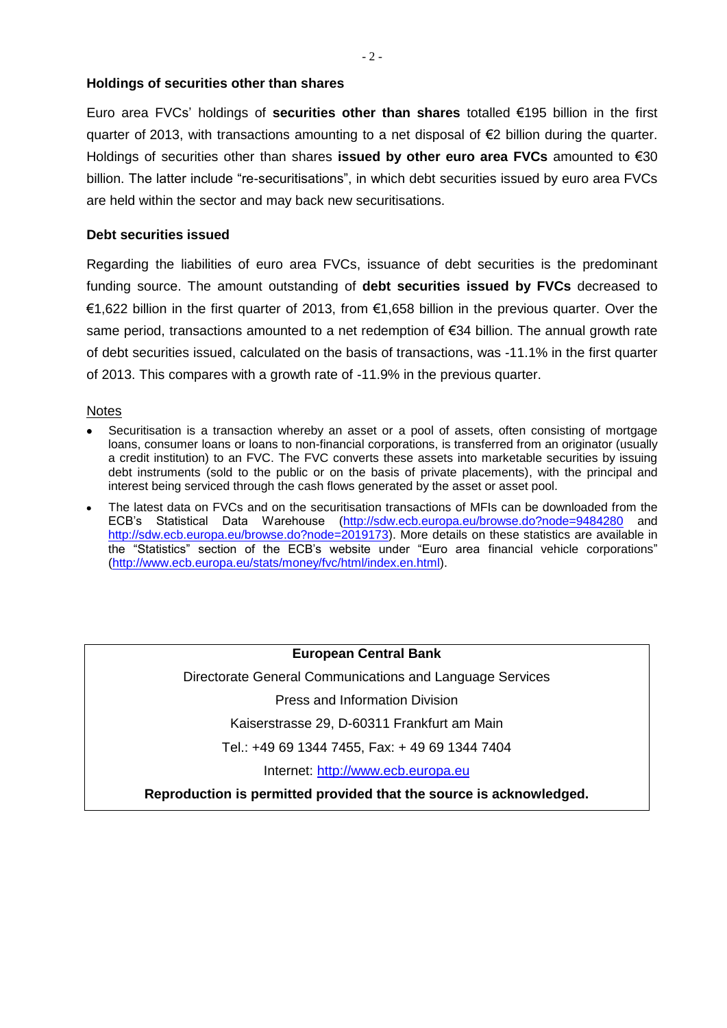### **Holdings of securities other than shares**

Euro area FVCs' holdings of **securities other than shares** totalled €195 billion in the first quarter of 2013, with transactions amounting to a net disposal of €2 billion during the quarter. Holdings of securities other than shares **issued by other euro area FVCs** amounted to €30 billion. The latter include "re-securitisations", in which debt securities issued by euro area FVCs are held within the sector and may back new securitisations.

#### **Debt securities issued**

Regarding the liabilities of euro area FVCs, issuance of debt securities is the predominant funding source. The amount outstanding of **debt securities issued by FVCs** decreased to €1,622 billion in the first quarter of 2013, from €1,658 billion in the previous quarter. Over the same period, transactions amounted to a net redemption of €34 billion. The annual growth rate of debt securities issued, calculated on the basis of transactions, was -11.1% in the first quarter of 2013. This compares with a growth rate of -11.9% in the previous quarter.

#### Notes

- Securitisation is a transaction whereby an asset or a pool of assets, often consisting of mortgage loans, consumer loans or loans to non-financial corporations, is transferred from an originator (usually a credit institution) to an FVC. The FVC converts these assets into marketable securities by issuing debt instruments (sold to the public or on the basis of private placements), with the principal and interest being serviced through the cash flows generated by the asset or asset pool.
- The latest data on FVCs and on the securitisation transactions of MFIs can be downloaded from the ECB's Statistical Data Warehouse [\(http://sdw.ecb.europa.eu/browse.do?node=9484280](http://sdw.ecb.europa.eu/browse.do?node=9484280) and [http://sdw.ecb.europa.eu/browse.do?node=2019173\)](http://sdw.ecb.europa.eu/browse.do?node=2019173). More details on these statistics are available in the "Statistics" section of the ECB's website under "Euro area financial vehicle corporations" [\(http://www.ecb.europa.eu/stats/money/fvc/html/index.en.html\)](http://www.ecb.europa.eu/stats/money/fvc/html/index.en.html).

## **European Central Bank**

Directorate General Communications and Language Services

Press and Information Division

Kaiserstrasse 29, D-60311 Frankfurt am Main

Tel.: +49 69 1344 7455, Fax: + 49 69 1344 7404

Internet: [http://www.ecb.europa.eu](http://www.ecb.europa.eu/)

**Reproduction is permitted provided that the source is acknowledged.**

- 2 -